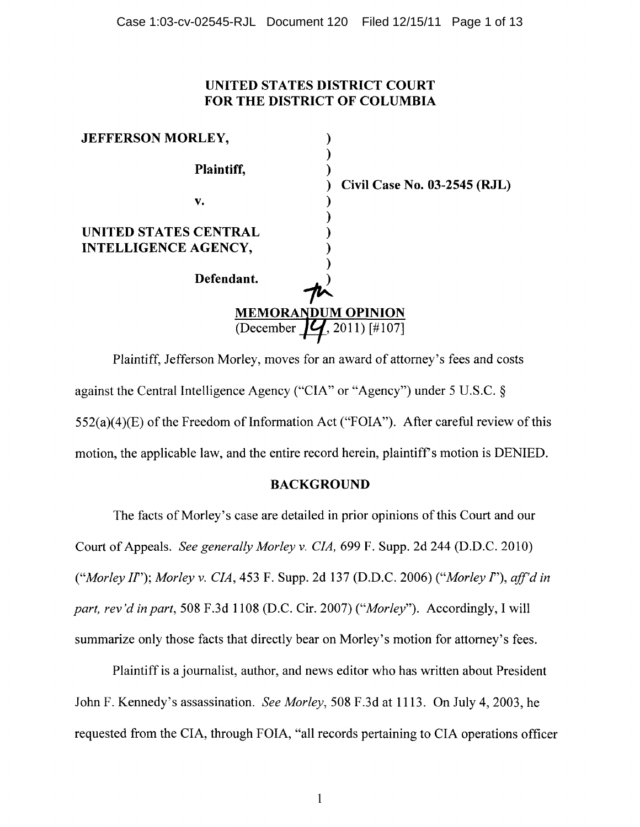# UNITED STATES DISTRICT COURT FOR THE DISTRICT OF COLUMBIA

| <b>JEFFERSON MORLEY,</b>                                  |                              |
|-----------------------------------------------------------|------------------------------|
| Plaintiff,                                                | Civil Case No. 03-2545 (RJL) |
| v.                                                        |                              |
| UNITED STATES CENTRAL                                     |                              |
| <b>INTELLIGENCE AGENCY,</b>                               |                              |
| Defendant.                                                |                              |
| <b>MEMORANDUM OPINION</b><br>$(2011)$ [#107]<br>(December |                              |

Plaintiff, Jefferson Morley, moves for an award of attorney's fees and costs against the Central Intelligence Agency ("CIA" or "Agency") under 5 U.S.C. §  $552(a)(4)(E)$  of the Freedom of Information Act ("FOIA"). After careful review of this motion, the applicable law, and the entire record herein, plaintiff's motion is DENIED.

# BACKGROUND

The facts of Morley's case are detailed in prior opinions of this Court and our Court of Appeals. *See generally Morley* v. *CIA,* 699 F. Supp. 2d 244 (D.D.C. 2010) *("Morley II"); Morley v. CIA, 453 F. Supp. 2d 137 (D.D.C. 2006) ("Morley I"), aff'd in part, rev'd in part,* 508 F.3d 1108 (D.C. Cir. 2007) *("Morley").* Accordingly, I will summarize only those facts that directly bear on Morley's motion for attorney's fees.

Plaintiff is a journalist, author, and news editor who has written about President John F. Kennedy's assassination. *See Morley,* 508 F.3d at 1113. On July 4,2003, he requested from the CIA, through FOIA, "all records pertaining to CIA operations officer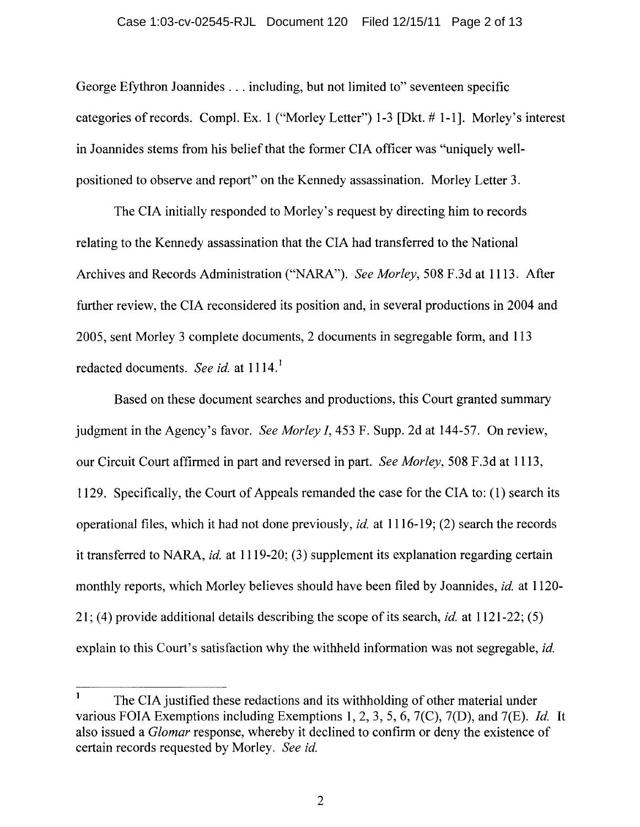George Efythron Joannides . . . including, but not limited to" seventeen specific categories of records. Compi. Ex. 1 ("Morley Letter") 1-3 [Dkt. # 1-1]. Morley's interest in 10annides stems from his belief that the former CIA officer was "uniquely wellpositioned to observe and report" on the Kennedy assassination. Morley Letter 3.

The CIA initially responded to Morley's request by directing him to records relating to the Kennedy assassination that the CIA had transferred to the National Archives and Records Administration ("NARA"). *See Morley,* 508 F.3d at 11l3. After further review, the CIA reconsidered its position and, in several productions in 2004 and 2005, sent Morley 3 complete documents, 2 documents in segregable form, and 113 redacted documents. *See id.* at 1114.<sup>1</sup>

Based on these document searches and productions, this Court granted summary judgment in the Agency's favor. *See Morley 1,453* F. Supp. 2d at 144-57. On review, our Circuit Court affirmed in part and reversed in part. *See Morley,* 508 F.3d at 11l3, 1129. Specifically, the Court of Appeals remanded the case for the CIA to: (1) search its operational files, which it had not done previously, *id.* at 1116-19; (2) search the records it transferred to NARA, *id.* at 1119-20; (3) supplement its explanation regarding certain monthly reports, which Morley believes should have been filed by 10annides, *id.* at 1120- 21; (4) provide additional details describing the scope of its search, *id.* at 1121-22; (5) explain to this Court's satisfaction why the withheld information was not segregable, *id.* 

The CIA justified these redactions and its withholding of other material under various FOIA Exemptions including Exemptions 1,2,3, 5,6, 7(C), 7(D), and 7(E). *Id.* It also issued a *Glomar* response, whereby it declined to confirm or deny the existence of certain records requested by Morley. *See id.*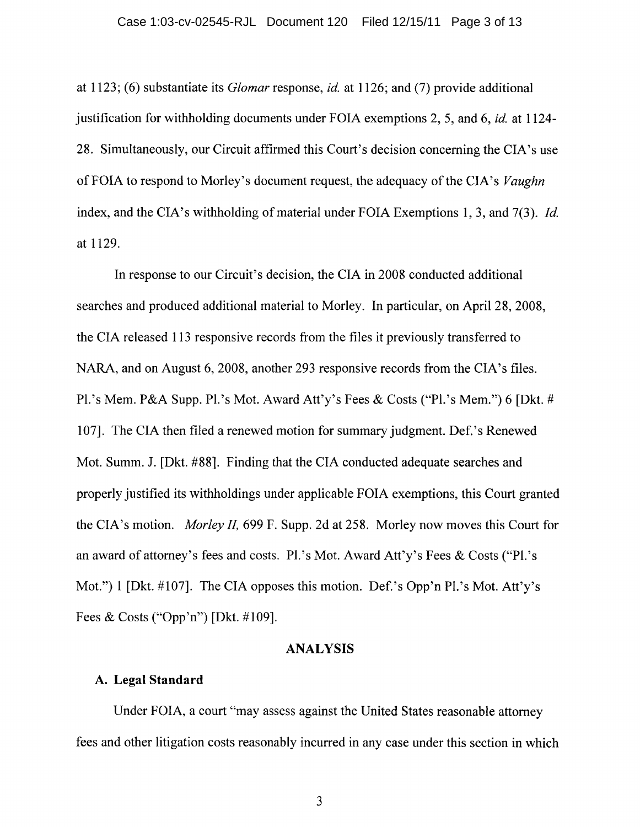at 1123; (6) substantiate its *Glomar* response, *id.* at 1126; and (7) provide additional justification for withholding documents under FOIA exemptions 2, 5, and 6, *id.* at 1124- 28. Simultaneously, our Circuit affirmed this Court's decision concerning the CIA's use of FOIA to respond to Morley's document request, the adequacy of the CIA's *Vaughn*  index, and the CIA's withholding of material under FOIA Exemptions 1, 3, and 7(3). *Id.* at 1129.

In response to our Circuit's decision, the CIA in 2008 conducted additional searches and produced additional material to Morley. In particular, on April 28, 2008, the CIA released 113 responsive records from the files it previously transferred to NARA, and on August 6, 2008, another 293 responsive records from the CIA's files. Pl.'s Mem. P&A Supp. Pl.'s Mot. Award Att'y's Fees & Costs ("Pl.'s Mem.") 6 [Dkt. # 107]. The CIA then filed a renewed motion for summary judgment. Def.'s Renewed Mot. Summ. J. [Dkt. #88]. Finding that the CIA conducted adequate searches and properly justified its withholdings under applicable FOIA exemptions, this Court granted the CIA's motion. *Morley II,* 699 F. Supp. 2d at 258. Morley now moves this Court for an award of attorney's fees and costs. Pl.'s Mot. Award Att'y's Fees & Costs ("Pl.'s Mot.") 1 [Dkt. #107]. The CIA opposes this motion. Def.'s Opp'n Pl.'s Mot. Att'y's Fees & Costs ("Opp'n") [Dkt. #109].

#### ANALYSIS

#### A. Legal Standard

Under FOIA, a court "may assess against the United States reasonable attorney fees and other litigation costs reasonably incurred in any case under this section in which

3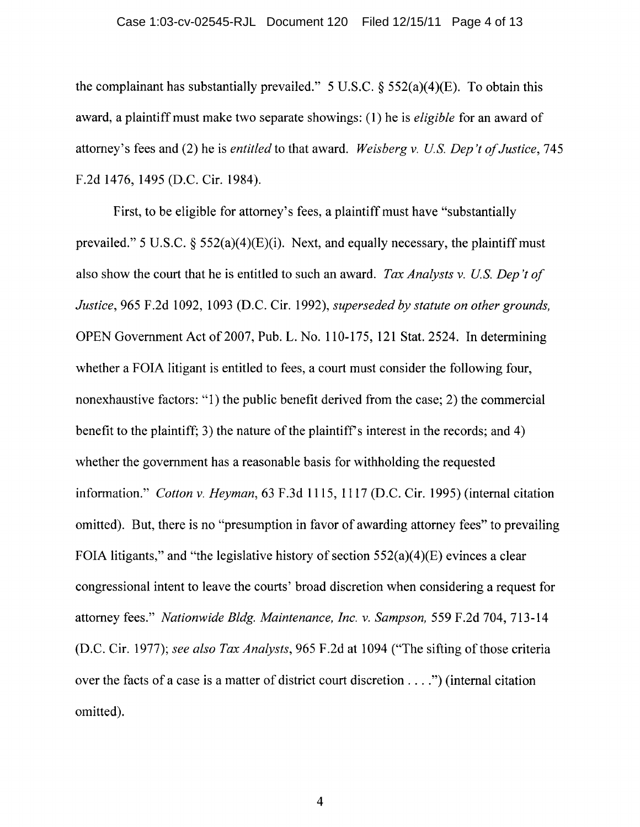the complainant has substantially prevailed." 5 U.S.C.  $\S$  552(a)(4)(E). To obtain this award, a plaintiff must make two separate showings: (1) he is *eligible* for an award of attorney's fees and (2) he is *entitled* to that award. *Weisberg* v. *Us. Dep 't of Justice, 745*  F.2d 1476,1495 (D.C. Cir. 1984).

First, to be eligible for attorney's fees, a plaintiff must have "substantially prevailed." 5 U.S.C.  $\S$  552(a)(4)(E)(i). Next, and equally necessary, the plaintiff must also show the court that he is entitled to such an award. *Tax Analysts* v. *Us. Dep 't of Justice,* 965 F.2d 1092, 1093 (D.C. Cir. 1992), *superseded by statute on other grounds,*  OPEN Government Act of 2007, Pub. L. No. 110-175, 121 Stat. 2524. In determining whether a FOIA litigant is entitled to fees, a court must consider the following four, nonexhaustive factors: "1) the public benefit derived from the case; 2) the commercial benefit to the plaintiff; 3) the nature of the plaintiff's interest in the records; and 4) whether the government has a reasonable basis for withholding the requested information." *Cotton* v. *Heyman,* 63 F.3d 1115, 1117 (D.C. Cir. 1995) (internal citation omitted). But, there is no "presumption in favor of awarding attorney fees" to prevailing FOIA litigants," and "the legislative history of section  $552(a)(4)(E)$  evinces a clear congressional intent to leave the courts' broad discretion when considering a request for attorney fees." *Nationwide Bldg. Maintenance, Inc.* v. *Sampson,* 559 F.2d 704, 713-14 (D.C. Cir. 1977); *see also Tax Analysts,* 965 F.2d at 1094 ("The sifting of those criteria over the facts of a case is a matter of district court discretion .... ") (internal citation omitted).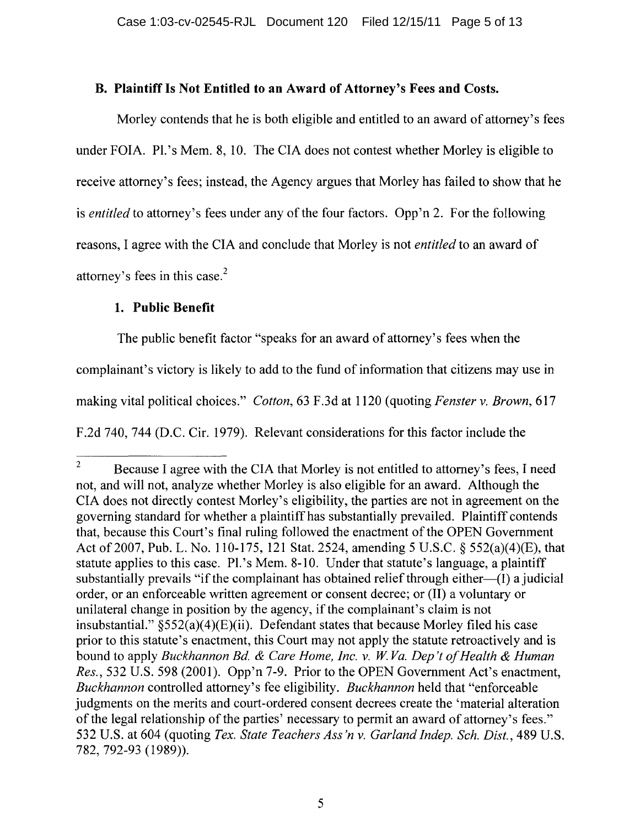# B. Plaintiff Is Not Entitled to an Award of Attorney's Fees and Costs.

Morley contends that he is both eligible and entitled to an award of attorney's fees under FOIA. PI.'s Mem. 8, 10. The CIA does not contest whether Morley is eligible to receive attorney's fees; instead, the Agency argues that Morley has failed to show that he is *entitled* to attorney's fees under any of the four factors. Opp'n 2. For the following reasons, I agree with the CIA and conclude that Morley is not *entitled* to an award of attorney's fees in this case. $<sup>2</sup>$ </sup>

## 1. Public Benefit

The public benefit factor "speaks for an award of attorney's fees when the complainant's victory is likely to add to the fund of information that citizens may use in making vital political choices." *Cotton,* 63 F.3d at 1120 (quoting *Fenster* v. *Brown, 617*  F.2d 740, 744 (D.C. Cir. 1979). Relevant considerations for this factor include the

<sup>&</sup>lt;sup>2</sup> Because I agree with the CIA that Morley is not entitled to attorney's fees, I need not, and will not, analyze whether Morley is also eligible for an award. Although the CIA does not directly contest Morley's eligibility, the parties are not in agreement on the governing standard for whether a plaintiff has substantially prevailed. Plaintiff contends that, because this Court's final ruling followed the enactment of the OPEN Government Act of2007, Pub. L. No. 110-175, 121 Stat. 2524, amending 5 U.S.c. § 552(a)(4)(E), that statute applies to this case. PI.'s Mem. 8-10. Under that statute's language, a plaintiff substantially prevails "if the complainant has obtained relief through either—(I) a judicial order, or an enforceable written agreement or consent decree; or (II) a voluntary or unilateral change in position by the agency, if the complainant's claim is not insubstantial."  $\S 552(a)(4)(E)(ii)$ . Defendant states that because Morley filed his case prior to this statute's enactment, this Court may not apply the statute retroactively and is bound to apply *Buckhannon Bd.* & *Care Home, Inc.* v. *W Va. Dep't o/Health* & *Human Res.,* 532 U.S. 598 (2001). Opp'n 7-9. Prior to the OPEN Government Act's enactment, *Buckhannon* controlled attorney's fee eligibility. *Buckhannon* held that "enforceable judgments on the merits and court-ordered consent decrees create the 'material alteration of the legal relationship of the parties' necessary to permit an award of attorney's fees." 532 U.S. at 604 (quoting *Tex. State Teachers Ass'n* v. *Garland Indep. Sch. Dist.,* 489 U.S. 782, 792-93 (1989)).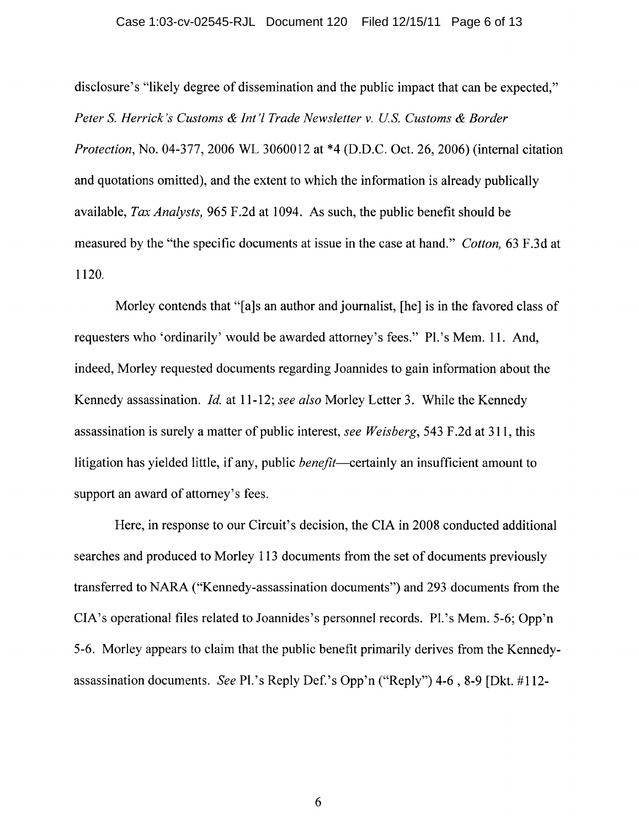#### Case 1:03-cv-02545-RJL Document 120 Filed 12/15/11 Page 6 of 13

disclosure's "likely degree of dissemination and the public impact that can be expected," *Peter S. Herrick's Customs & Int'l Trade Newsletter v. U.S. Customs & Border Protection,* No. 04-377, 2006 WL 3060012 at \*4 (D.D.C. Oct. 26, 2006) (internal citation and quotations omitted), and the extent to which the information is already publically available, *Tax Analysts,* 965 F.2d at 1094. As such, the public benefit should be measured by the "the specific documents at issue in the case at hand." *Cotton,* 63 F.3d at 1120.

Morley contends that "[a]s an author and journalist, [he] is in the favored class of requesters who 'ordinarily' would be awarded attorney's fees." PI.'s Mem. 11. And, indeed, Morley requested documents regarding Joannides to gain information about the Kennedy assassination. *Id.* at 11-12; *see also* Morley Letter 3. While the Kennedy assassination is surely a matter of public interest, *see Weisberg,* 543 F.2d at 311, this litigation has yielded little, if any, public *benefit*—certainly an insufficient amount to support an award of attorney's fees.

Here, in response to our Circuit's decision, the CIA in 2008 conducted additional searches and produced to Morley 113 documents from the set of documents previously transferred to NARA ("Kennedy-assassination documents") and 293 documents from the CIA's operational files related to Joannides's personnel records. PI. 's Mem. 5-6; Opp'n 5-6. Morley appears to claim that the public benefit primarily derives from the Kennedyassassination documents. *See* PI.'s Reply Def.'s Opp'n ("Reply") 4-6,8-9 [Dkt. #112-

6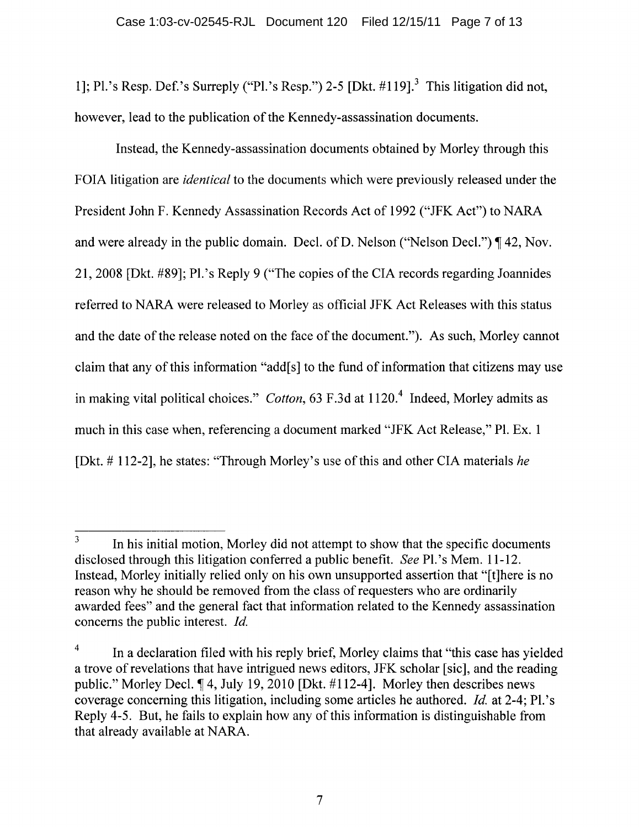1]; PI.'s Resp. Def.'s Surreply ("PI.'s Resp.") 2-5 [Dkt. #119].3 This litigation did not, however, lead to the publication of the Kennedy-assassination documents.

Instead, the Kennedy-assassination documents obtained by Morley through this FOIA litigation are *identical* to the documents which were previously released under the President John F. Kennedy Assassination Records Act of 1992 ("JFK Act") to NARA and were already in the public domain. Decl. of D. Nelson ("Nelson Decl.")  $\P$  42, Nov. 21,2008 [Dkt. #89]; PI.'s Reply 9 ("The copies of the CIA records regarding Joannides referred to NARA were released to Morley as official JFK Act Releases with this status and the date of the release noted on the face of the document."). As such, Morley cannot claim that any of this information "add[s] to the fund of information that citizens may use in making vital political choices." *Cotton*, 63 F.3d at 1120.<sup>4</sup> Indeed, Morley admits as much in this case when, referencing a document marked "JFK Act Release," PI. Ex. 1 [Dkt. # 112-2], he states: "Through Morley's use of this and other CIA materials *he* 

<sup>&</sup>lt;sup>3</sup> In his initial motion, Morley did not attempt to show that the specific documents disclosed through this litigation conferred a public benefit. *See* Pl.'s Mem. 11-12. Instead, Morley initially relied only on his own unsupported assertion that "[t]here is no reason why he should be removed from the class of requesters who are ordinarily awarded fees" and the general fact that information related to the Kennedy assassination concerns the public interest. *Id.* 

<sup>&</sup>lt;sup>4</sup> In a declaration filed with his reply brief, Morley claims that "this case has yielded a trove of revelations that have intrigued news editors, JFK scholar [sic], and the reading public." Morley Decl.  $\llbracket 4$ , July 19, 2010 [Dkt. #112-4]. Morley then describes news coverage concerning this litigation, including some articles he authored. *Id.* at 2-4; PI.'s Reply 4-5. But, he fails to explain how any of this information is distinguishable from that already available at NARA.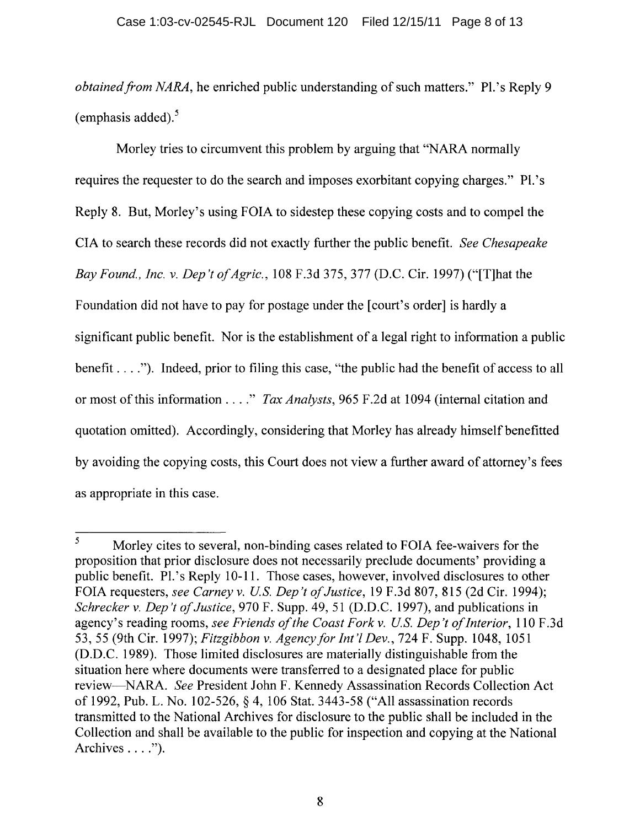*obtained from NARA*, he enriched public understanding of such matters." Pl.'s Reply 9 (emphasis added). $5$ 

Morley tries to circumvent this problem by arguing that "NARA normally requires the requester to do the search and imposes exorbitant copying charges." Pl.'s Reply 8. But, Morley's using FOIA to sidestep these copying costs and to compel the CIA to search these records did not exactly further the public benefit. *See Chesapeake Bay Found., Inc.* v. *Dep't of Agric.,* 108 F.3d 375, 377 (D.C. Cir. 1997) ("[T]hat the Foundation did not have to pay for postage under the [court's order] is hardly a significant public benefit. Nor is the establishment of a legal right to information a public benefit .... "). Indeed, prior to filing this case, "the public had the benefit of access to all or most of this information .... " *Tax Analysts,* 965 F.2d at 1094 (internal citation and quotation omitted). Accordingly, considering that Morley has already himself benefitted by avoiding the copying costs, this Court does not view a further award of attorney's fees as appropriate in this case.

<sup>&</sup>lt;sup>5</sup> Morley cites to several, non-binding cases related to FOIA fee-waivers for the proposition that prior disclosure does not necessarily preclude documents' providing a public benefit. Pl.'s Reply 10-11. Those cases, however, involved disclosures to other FOIA requesters, *see Carney v. U.S. Dep't of Justice*, 19 F.3d 807, 815 (2d Cir. 1994); *Schrecker* v. *Dep 't of Justice,* 970 F. Supp. 49, 51 (D.D.C. 1997), and publications in agency's reading rooms, *see Friends of the Coast Fork v. U.S. Dep't of Interior*, 110 F.3d 53,55 (9th Cir. 1997); *Fitzgibbon* v. *Agencyfor Int'! Dev.,* 724 F. Supp. 1048, 1051 (D.D.C. 1989). Those limited disclosures are materially distinguishable from the situation here where documents were transferred to a designated place for public review-NARA. *See* President John F. Kennedy Assassination Records Collection Act of 1992, Pub. L. No.1 02-526, § 4, 106 Stat. 3443-58 ("All assassination records transmitted to the National Archives for disclosure to the public shall be included in the Collection and shall be available to the public for inspection and copying at the National Archives  $\dots$ ").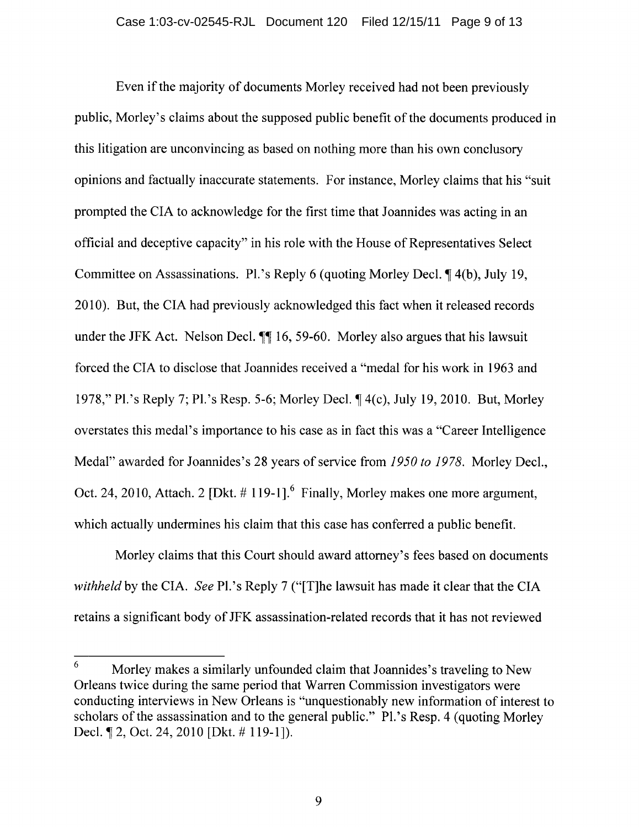Even if the majority of documents Morley received had not been previously public, Morley's claims about the supposed public benefit of the documents produced in this litigation are unconvincing as based on nothing more than his own conclusory opinions and factually inaccurate statements. For instance, Morley claims that his "suit prompted the CIA to acknowledge for the first time that Joannides was acting in an official and deceptive capacity" in his role with the House of Representatives Select Committee on Assassinations. Pl.'s Reply 6 (quoting Morley Decl. ¶4(b), July 19, 2010). But, the CIA had previously acknowledged this fact when it released records under the JFK Act. Nelson Decl.  $\P\P$  16, 59-60. Morley also argues that his lawsuit forced the CIA to disclose that Joannides received a "medal for his work in 1963 and 1978," Pl.'s Reply 7; Pl.'s Resp. 5-6; Morley Decl.  $\P$  4(c), July 19, 2010. But, Morley overstates this medal's importance to his case as in fact this was a "Career Intelligence Medal" awarded for Joannides's 28 years of service from *1950 to* 1978. Morley Decl., Oct. 24, 2010, Attach. 2 [Dkt.  $# 119-1$ ]. Finally, Morley makes one more argument, which actually undermines his claim that this case has conferred a public benefit.

Morley claims that this Court should award attorney's fees based on documents *withheld* by the CIA. *See* PI. 's Reply 7 ("[T]he lawsuit has made it clear that the CIA retains a significant body of JFK assassination-related records that it has not reviewed

<sup>6</sup> Morley makes a similarly unfounded claim that Joannides's traveling to New Orleans twice during the same period that Warren Commission investigators were conducting interviews in New Orleans is "unquestionably new information of interest to scholars of the assassination and to the general public." PI.'s Resp. 4 (quoting Morley Decl. ¶ 2, Oct. 24, 2010 [Dkt. # 119-1]).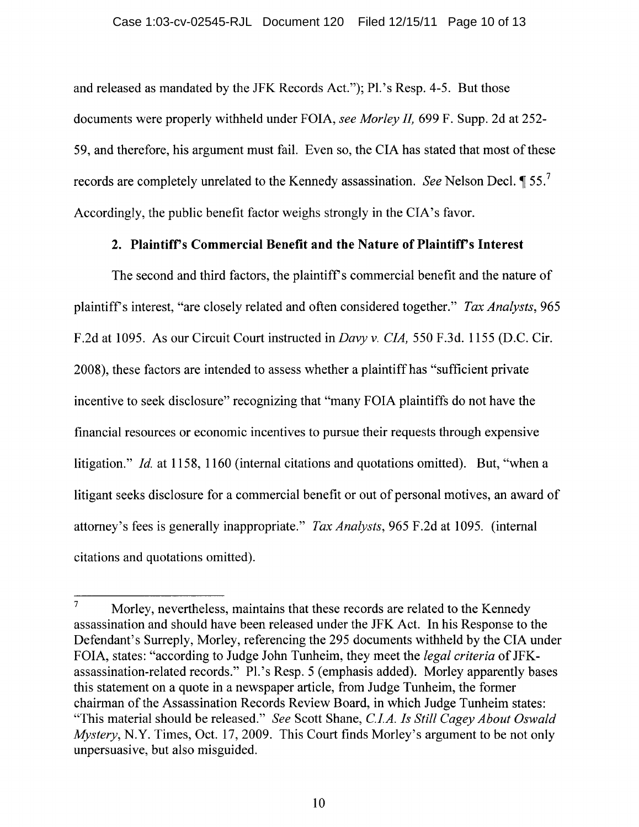and released as mandated by the JFK Records Act."); PI. 's Resp. 4-5. But those documents were properly withheld under FOIA, *see Morley IL* 699 F. Supp. 2d at 252- 59, and therefore, his argument must fail. Even so, the CIA has stated that most of these records are completely unrelated to the Kennedy assassination. *See* Nelson Decl.  $\P$  55.<sup>7</sup> Accordingly, the public benefit factor weighs strongly in the CIA's favor.

#### 2. Plaintifrs Commercial Benefit and the Nature of Plaintifrs Interest

The second and third factors, the plaintiff's commercial benefit and the nature of plaintiffs interest, "are closely related and often considered together." *Tax Analysts, 965*  F.2d at 1095. As our Circuit Court instructed in *Davy* v. *CIA,* 550 F.3d. 1155 (D.C. Cir. 2008), these factors are intended to assess whether a plaintiff has "sufficient private incentive to seek disclosure" recognizing that "many FOIA plaintiffs do not have the financial resources or economic incentives to pursue their requests through expensive litigation." *Id.* at 1158, 1160 (internal citations and quotations omitted). But, "when a litigant seeks disclosure for a commercial benefit or out of personal motives, an award of attorney's fees is generally inappropriate." *Tax Analysts,* 965 F.2d at 1095. (internal citations and quotations omitted).

 $7$  Morley, nevertheless, maintains that these records are related to the Kennedy assassination and should have been released under the JFK Act. In his Response to the Defendant's Surreply, Morley, referencing the 295 documents withheld by the CIA under FOIA, states: "according to Judge John Tunheim, they meet the *legal criteria* of JFKassassination-related records." Pl.'s Resp. 5 (emphasis added). Morley apparently bases this statement on a quote in a newspaper article, from Judge Tunheim, the former chairman of the Assassination Records Review Board, in which Judge Tunheim states: "This material should be released." *See* Scott Shane, *C.I.A. Is Still Cagey About Oswald Mystery, N.Y. Times, Oct. 17, 2009. This Court finds Morley's argument to be not only* unpersuasive, but also misguided.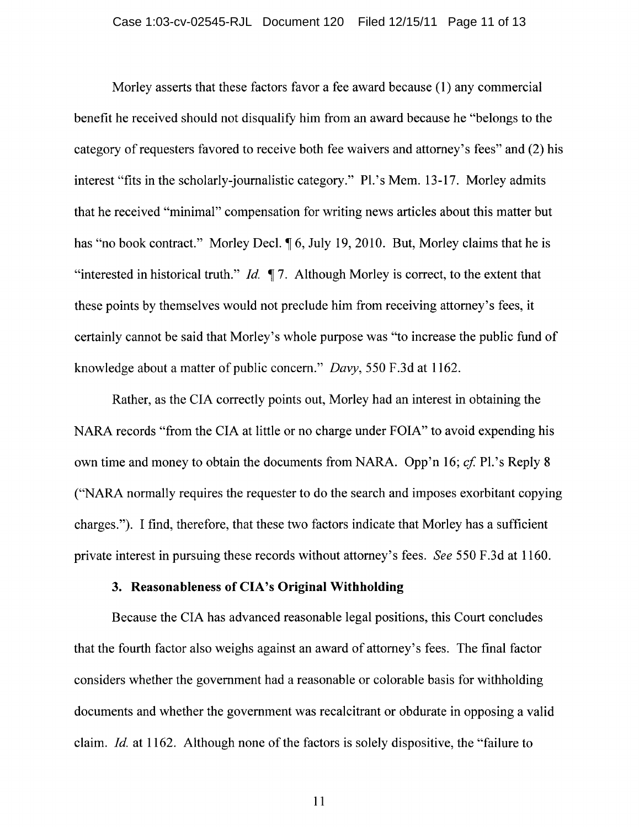Morley asserts that these factors favor a fee award because (1) any commercial benefit he received should not disquality him from an award because he "belongs to the category of requesters favored to receive both fee waivers and attorney's fees" and (2) his interest "fits in the scholarly-journalistic category." Pl.'s Mem. 13-17. Morley admits that he received "minimal" compensation for writing news articles about this matter but has "no book contract." Morley Decl.  $\sqrt{6}$ , July 19, 2010. But, Morley claims that he is "interested in historical truth." *Id.*  $\parallel$  7. Although Morley is correct, to the extent that these points by themselves would not preclude him from receiving attorney's fees, it certainly cannot be said that Morley's whole purpose was "to increase the public fund of knowledge about a matter of public concern." *Davy,* 550 F.3d at 1162.

Rather, as the CIA correctly points out, Morley had an interest in obtaining the NARA records "from the CIA at little or no charge under FOIA" to avoid expending his own time and money to obtain the documents from NARA. Opp'n 16; *cf.* Pl.'s Reply 8 ("NARA normally requires the requester to do the search and imposes exorbitant copying charges."). I find, therefore, that these two factors indicate that Morley has a sufficient private interest in pursuing these records without attorney's fees. *See* 550 F.3d at 1160.

#### 3. Reasonableness **of** CIA's **Original Withholding**

Because the CIA has advanced reasonable legal positions, this Court concludes that the fourth factor also weighs against an award of attorney's fees. The final factor considers whether the government had a reasonable or colorable basis for withholding documents and whether the government was recalcitrant or obdurate in opposing a valid claim. *Id.* at 1162. Although none of the factors is solely dispositive, the "failure to

11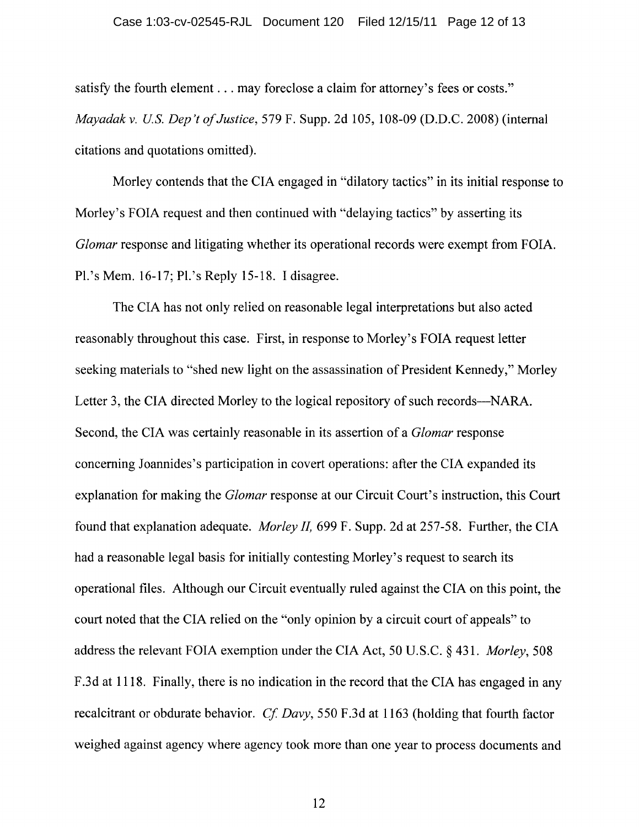satisfy the fourth element . . . may foreclose a claim for attorney's fees or costs." *Mayadak* v. *us. Dep 't of Justice,* 579 F. Supp. 2d 105, 108-09 (D.D.C. 2008) (internal citations and quotations omitted).

Morley contends that the CIA engaged in "dilatory tactics" in its initial response to Morley's FOIA request and then continued with "delaying tactics" by asserting its *Glomar* response and litigating whether its operational records were exempt from FOIA. Pl.'s Mem. 16-17; Pl.'s Reply 15-18. I disagree.

The CIA has not only relied on reasonable legal interpretations but also acted reasonably throughout this case. First, in response to Morley's FOIA request letter seeking materials to "shed new light on the assassination of President Kennedy," Morley Letter 3, the CIA directed Morley to the logical repository of such records—NARA. Second, the CIA was certainly reasonable in its assertion of a *Glomar* response concerning Joannides's participation in covert operations: after the CIA expanded its explanation for making the *Glomar* response at our Circuit Court's instruction, this Court found that explanation adequate. *Morley* II, 699 F. Supp. 2d at 257-58. Further, the CIA had a reasonable legal basis for initially contesting Morley's request to search its operational files. Although our Circuit eventually ruled against the CIA on this point, the court noted that the CIA relied on the "only opinion by a circuit court of appeals" to address the relevant FOIA exemption under the CIA Act, 50 U.S.C. § 431. *Morley,* 508 F.3d at 1118. Finally, there is no indication in the record that the CIA has engaged in any recalcitrant or obdurate behavior. *Cf Davy,* 550 F.3d at 1163 (holding that fourth factor weighed against agency where agency took more than one year to process documents and